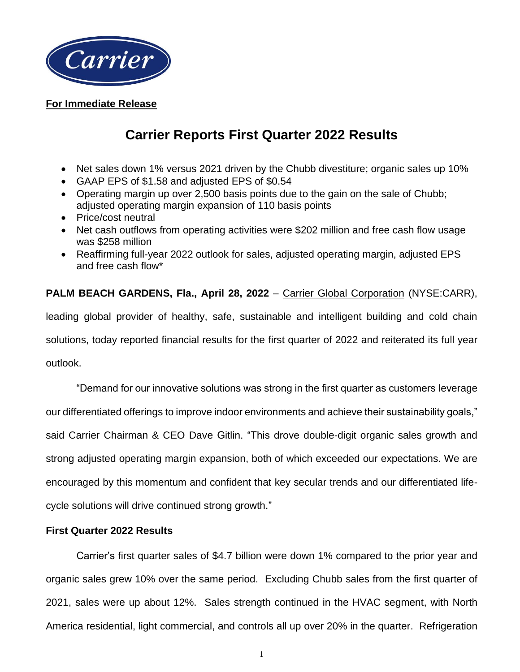

**For Immediate Release**

# **Carrier Reports First Quarter 2022 Results**

- Net sales down 1% versus 2021 driven by the Chubb divestiture; organic sales up 10%
- GAAP EPS of \$1.58 and adjusted EPS of \$0.54
- Operating margin up over 2,500 basis points due to the gain on the sale of Chubb; adjusted operating margin expansion of 110 basis points
- Price/cost neutral
- Net cash outflows from operating activities were \$202 million and free cash flow usage was \$258 million
- Reaffirming full-year 2022 outlook for sales, adjusted operating margin, adjusted EPS and free cash flow\*

**PALM BEACH GARDENS, Fla., April 28, 2022** – [Carrier Global Corporation](http://www.corporate.carrier.com/) (NYSE:CARR), leading global provider of healthy, safe, sustainable and intelligent building and cold chain solutions, today reported financial results for the first quarter of 2022 and reiterated its full year outlook.

"Demand for our innovative solutions was strong in the first quarter as customers leverage our differentiated offerings to improve indoor environments and achieve their sustainability goals," said Carrier Chairman & CEO Dave Gitlin. "This drove double-digit organic sales growth and strong adjusted operating margin expansion, both of which exceeded our expectations. We are encouraged by this momentum and confident that key secular trends and our differentiated lifecycle solutions will drive continued strong growth."

# **First Quarter 2022 Results**

Carrier's first quarter sales of \$4.7 billion were down 1% compared to the prior year and organic sales grew 10% over the same period. Excluding Chubb sales from the first quarter of 2021, sales were up about 12%. Sales strength continued in the HVAC segment, with North America residential, light commercial, and controls all up over 20% in the quarter. Refrigeration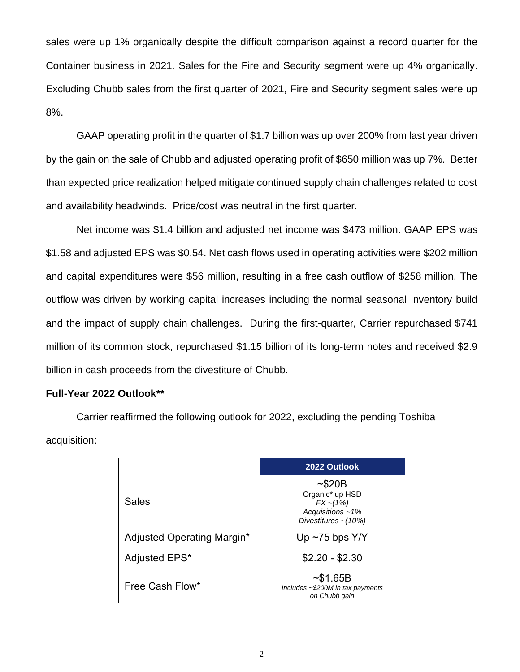sales were up 1% organically despite the difficult comparison against a record quarter for the Container business in 2021. Sales for the Fire and Security segment were up 4% organically. Excluding Chubb sales from the first quarter of 2021, Fire and Security segment sales were up 8%.

GAAP operating profit in the quarter of \$1.7 billion was up over 200% from last year driven by the gain on the sale of Chubb and adjusted operating profit of \$650 million was up 7%. Better than expected price realization helped mitigate continued supply chain challenges related to cost and availability headwinds. Price/cost was neutral in the first quarter.

Net income was \$1.4 billion and adjusted net income was \$473 million. GAAP EPS was \$1.58 and adjusted EPS was \$0.54. Net cash flows used in operating activities were \$202 million and capital expenditures were \$56 million, resulting in a free cash outflow of \$258 million. The outflow was driven by working capital increases including the normal seasonal inventory build and the impact of supply chain challenges. During the first-quarter, Carrier repurchased \$741 million of its common stock, repurchased \$1.15 billion of its long-term notes and received \$2.9 billion in cash proceeds from the divestiture of Chubb.

### **Full-Year 2022 Outlook\*\***

Carrier reaffirmed the following outlook for 2022, excluding the pending Toshiba acquisition:

|                            | 2022 Outlook                                                                                 |
|----------------------------|----------------------------------------------------------------------------------------------|
| Sales                      | ~520B<br>Organic* up HSD<br>$FX - (1\%)$<br>Acquisitions $~1\%$<br>Divestitures $\sim$ (10%) |
| Adjusted Operating Margin* | Up $\sim$ 75 bps Y/Y                                                                         |
| Adjusted EPS*              | $$2.20 - $2.30$                                                                              |
| Free Cash Flow*            | ~51.65B<br>Includes ~\$200M in tax payments<br>on Chubb gain                                 |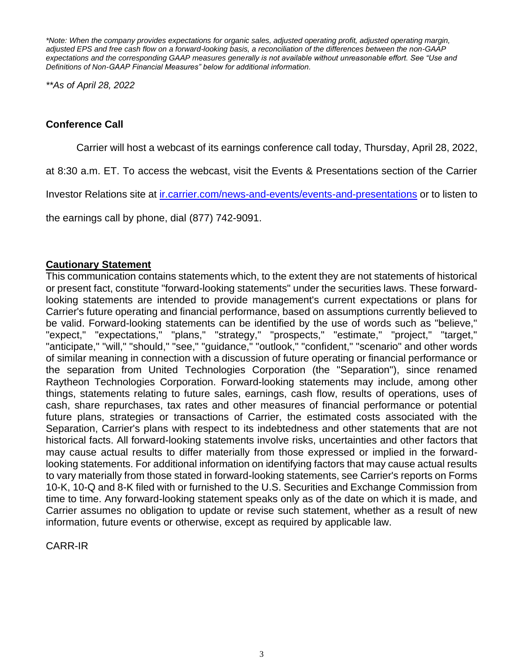*\*Note: When the company provides expectations for organic sales, adjusted operating profit, adjusted operating margin, adjusted EPS and free cash flow on a forward-looking basis, a reconciliation of the differences between the non-GAAP expectations and the corresponding GAAP measures generally is not available without unreasonable effort. See "Use and Definitions of Non-GAAP Financial Measures" below for additional information.*

*\*\*As of April 28, 2022*

# **Conference Call**

Carrier will host a webcast of its earnings conference call today, Thursday, April 28, 2022,

at 8:30 a.m. ET. To access the webcast, visit the Events & Presentations section of the Carrier

Investor Relations site at [ir.carrier.com/news-and-events/events-and-presentations](https://ir.carrier.com/news-and-events/events-and-presentations) or to listen to

the earnings call by phone, dial (877) 742-9091.

# **Cautionary Statement**

This communication contains statements which, to the extent they are not statements of historical or present fact, constitute "forward-looking statements" under the securities laws. These forwardlooking statements are intended to provide management's current expectations or plans for Carrier's future operating and financial performance, based on assumptions currently believed to be valid. Forward-looking statements can be identified by the use of words such as "believe," "expect," "expectations," "plans," "strategy," "prospects," "estimate," "project," "target," "anticipate," "will," "should," "see," "guidance," "outlook," "confident," "scenario" and other words of similar meaning in connection with a discussion of future operating or financial performance or the separation from United Technologies Corporation (the "Separation"), since renamed Raytheon Technologies Corporation. Forward-looking statements may include, among other things, statements relating to future sales, earnings, cash flow, results of operations, uses of cash, share repurchases, tax rates and other measures of financial performance or potential future plans, strategies or transactions of Carrier, the estimated costs associated with the Separation, Carrier's plans with respect to its indebtedness and other statements that are not historical facts. All forward-looking statements involve risks, uncertainties and other factors that may cause actual results to differ materially from those expressed or implied in the forwardlooking statements. For additional information on identifying factors that may cause actual results to vary materially from those stated in forward-looking statements, see Carrier's reports on Forms 10-K, 10-Q and 8-K filed with or furnished to the U.S. Securities and Exchange Commission from time to time. Any forward-looking statement speaks only as of the date on which it is made, and Carrier assumes no obligation to update or revise such statement, whether as a result of new information, future events or otherwise, except as required by applicable law.

# CARR-IR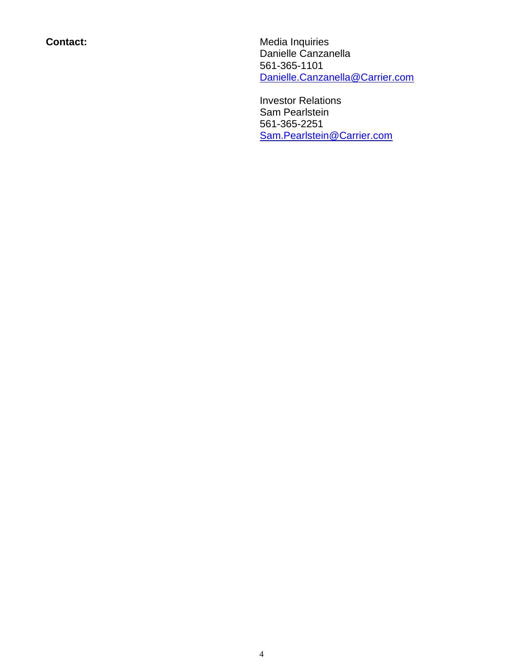**Contact:** Media Inquiries Danielle Canzanella 561-365-1101 [Danielle.Canzanella@Carrier.com](mailto:Danielle.Canzanella@Carrier.com)

> Investor Relations Sam Pearlstein 561-365-2251 [Sam.Pearlstein@Carrier.com](mailto:Sam.Pearlstein@Carrier.com)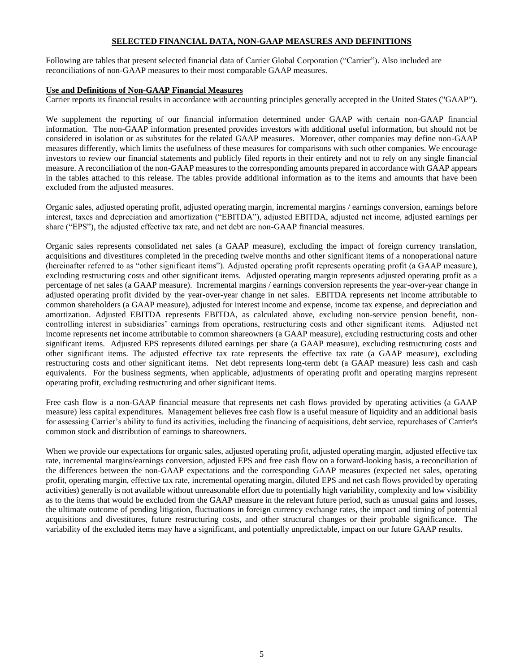#### **SELECTED FINANCIAL DATA, NON-GAAP MEASURES AND DEFINITIONS**

Following are tables that present selected financial data of Carrier Global Corporation ("Carrier"). Also included are reconciliations of non-GAAP measures to their most comparable GAAP measures.

#### **Use and Definitions of Non-GAAP Financial Measures**

Carrier reports its financial results in accordance with accounting principles generally accepted in the United States ("GAAP").

We supplement the reporting of our financial information determined under GAAP with certain non-GAAP financial information. The non-GAAP information presented provides investors with additional useful information, but should not be considered in isolation or as substitutes for the related GAAP measures. Moreover, other companies may define non-GAAP measures differently, which limits the usefulness of these measures for comparisons with such other companies. We encourage investors to review our financial statements and publicly filed reports in their entirety and not to rely on any single financial measure. A reconciliation of the non-GAAP measures to the corresponding amounts prepared in accordance with GAAP appears in the tables attached to this release. The tables provide additional information as to the items and amounts that have been excluded from the adjusted measures.

Organic sales, adjusted operating profit, adjusted operating margin, incremental margins / earnings conversion, earnings before interest, taxes and depreciation and amortization ("EBITDA"), adjusted EBITDA, adjusted net income, adjusted earnings per share ("EPS"), the adjusted effective tax rate, and net debt are non-GAAP financial measures.

Organic sales represents consolidated net sales (a GAAP measure), excluding the impact of foreign currency translation, acquisitions and divestitures completed in the preceding twelve months and other significant items of a nonoperational nature (hereinafter referred to as "other significant items"). Adjusted operating profit represents operating profit (a GAAP measure), excluding restructuring costs and other significant items. Adjusted operating margin represents adjusted operating profit as a percentage of net sales (a GAAP measure). Incremental margins / earnings conversion represents the year-over-year change in adjusted operating profit divided by the year-over-year change in net sales. EBITDA represents net income attributable to common shareholders (a GAAP measure), adjusted for interest income and expense, income tax expense, and depreciation and amortization. Adjusted EBITDA represents EBITDA, as calculated above, excluding non-service pension benefit, noncontrolling interest in subsidiaries' earnings from operations, restructuring costs and other significant items. Adjusted net income represents net income attributable to common shareowners (a GAAP measure), excluding restructuring costs and other significant items. Adjusted EPS represents diluted earnings per share (a GAAP measure), excluding restructuring costs and other significant items. The adjusted effective tax rate represents the effective tax rate (a GAAP measure), excluding restructuring costs and other significant items. Net debt represents long-term debt (a GAAP measure) less cash and cash equivalents. For the business segments, when applicable, adjustments of operating profit and operating margins represent operating profit, excluding restructuring and other significant items.

Free cash flow is a non-GAAP financial measure that represents net cash flows provided by operating activities (a GAAP measure) less capital expenditures. Management believes free cash flow is a useful measure of liquidity and an additional basis for assessing Carrier's ability to fund its activities, including the financing of acquisitions, debt service, repurchases of Carrier's common stock and distribution of earnings to shareowners.

When we provide our expectations for organic sales, adjusted operating profit, adjusted operating margin, adjusted effective tax rate, incremental margins/earnings conversion, adjusted EPS and free cash flow on a forward-looking basis, a reconciliation of the differences between the non-GAAP expectations and the corresponding GAAP measures (expected net sales, operating profit, operating margin, effective tax rate, incremental operating margin, diluted EPS and net cash flows provided by operating activities) generally is not available without unreasonable effort due to potentially high variability, complexity and low visibility as to the items that would be excluded from the GAAP measure in the relevant future period, such as unusual gains and losses, the ultimate outcome of pending litigation, fluctuations in foreign currency exchange rates, the impact and timing of potential acquisitions and divestitures, future restructuring costs, and other structural changes or their probable significance. The variability of the excluded items may have a significant, and potentially unpredictable, impact on our future GAAP results.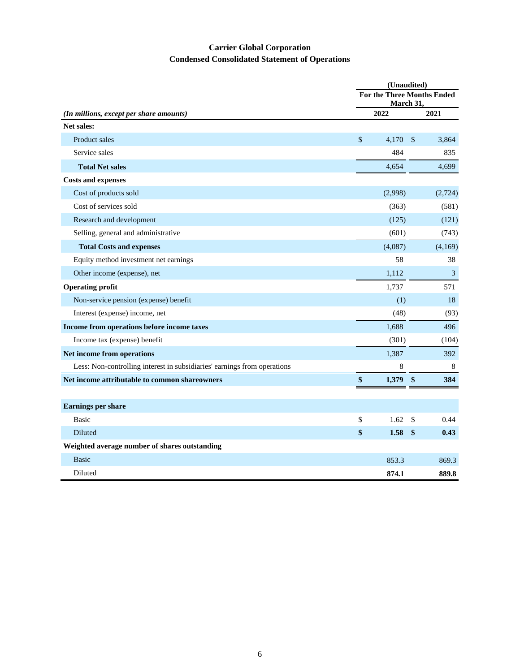### **Carrier Global Corporation Condensed Consolidated Statement of Operations**

|                                                                          | (Unaudited) |                                                |              |         |  |
|--------------------------------------------------------------------------|-------------|------------------------------------------------|--------------|---------|--|
|                                                                          |             | <b>For the Three Months Ended</b><br>March 31, |              |         |  |
| (In millions, except per share amounts)                                  |             | 2022                                           |              | 2021    |  |
| Net sales:                                                               |             |                                                |              |         |  |
| Product sales                                                            | \$          | 4,170                                          | $\mathbb{S}$ | 3,864   |  |
| Service sales                                                            |             | 484                                            |              | 835     |  |
| <b>Total Net sales</b>                                                   |             | 4,654                                          |              | 4,699   |  |
| <b>Costs and expenses</b>                                                |             |                                                |              |         |  |
| Cost of products sold                                                    |             | (2,998)                                        |              | (2,724) |  |
| Cost of services sold                                                    |             | (363)                                          |              | (581)   |  |
| Research and development                                                 |             | (125)                                          |              | (121)   |  |
| Selling, general and administrative                                      |             | (601)                                          |              | (743)   |  |
| <b>Total Costs and expenses</b>                                          |             | (4,087)                                        |              | (4,169) |  |
| Equity method investment net earnings                                    |             | 58                                             |              | 38      |  |
| Other income (expense), net                                              |             | 1,112                                          |              | 3       |  |
| <b>Operating profit</b>                                                  |             | 1,737                                          |              | 571     |  |
| Non-service pension (expense) benefit                                    |             | (1)                                            |              | 18      |  |
| Interest (expense) income, net                                           |             | (48)                                           |              | (93)    |  |
| Income from operations before income taxes                               |             | 1,688                                          |              | 496     |  |
| Income tax (expense) benefit                                             |             | (301)                                          |              | (104)   |  |
| Net income from operations                                               |             | 1,387                                          |              | 392     |  |
| Less: Non-controlling interest in subsidiaries' earnings from operations |             | 8                                              |              | 8       |  |
| Net income attributable to common shareowners                            | \$          | 1,379                                          | \$           | 384     |  |
|                                                                          |             |                                                |              |         |  |
| <b>Earnings per share</b>                                                |             |                                                |              |         |  |
| <b>Basic</b>                                                             | \$          | 1.62                                           | \$           | 0.44    |  |
| Diluted                                                                  | \$          | 1.58                                           | \$           | 0.43    |  |
| Weighted average number of shares outstanding                            |             |                                                |              |         |  |
| <b>Basic</b>                                                             |             | 853.3                                          |              | 869.3   |  |
| Diluted                                                                  |             | 874.1                                          |              | 889.8   |  |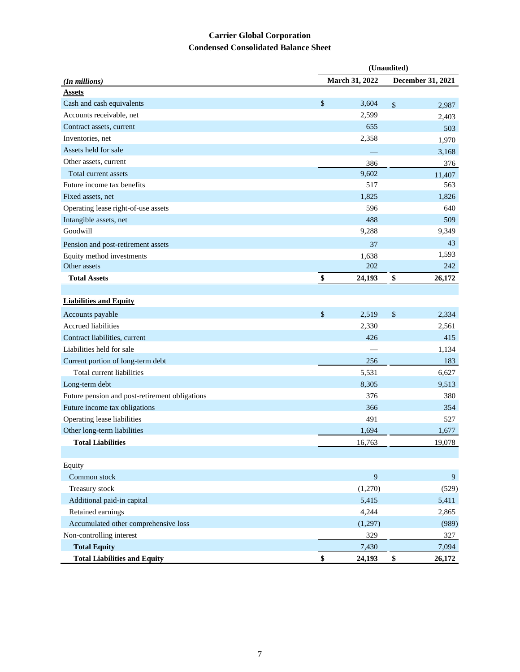# **Carrier Global Corporation Condensed Consolidated Balance Sheet**

|                                                | (Unaudited) |                |    |                   |  |  |  |  |  |
|------------------------------------------------|-------------|----------------|----|-------------------|--|--|--|--|--|
| $(In$ millions $)$                             |             | March 31, 2022 |    | December 31, 2021 |  |  |  |  |  |
| <b>Assets</b>                                  |             |                |    |                   |  |  |  |  |  |
| Cash and cash equivalents                      | \$          | 3,604          | \$ | 2,987             |  |  |  |  |  |
| Accounts receivable, net                       |             | 2,599          |    | 2,403             |  |  |  |  |  |
| Contract assets, current                       |             | 655            |    | 503               |  |  |  |  |  |
| Inventories, net                               |             | 2,358          |    | 1,970             |  |  |  |  |  |
| Assets held for sale                           |             |                |    | 3,168             |  |  |  |  |  |
| Other assets, current                          |             | 386            |    | 376               |  |  |  |  |  |
| Total current assets                           |             | 9,602          |    | 11,407            |  |  |  |  |  |
| Future income tax benefits                     |             | 517            |    | 563               |  |  |  |  |  |
| Fixed assets, net                              |             | 1,825          |    | 1,826             |  |  |  |  |  |
| Operating lease right-of-use assets            |             | 596            |    | 640               |  |  |  |  |  |
| Intangible assets, net                         |             | 488            |    | 509               |  |  |  |  |  |
| Goodwill                                       |             | 9,288          |    | 9,349             |  |  |  |  |  |
| Pension and post-retirement assets             |             | 37             |    | 43                |  |  |  |  |  |
| Equity method investments                      |             | 1,638          |    | 1,593             |  |  |  |  |  |
| Other assets                                   |             | 202            |    | 242               |  |  |  |  |  |
| <b>Total Assets</b>                            | \$          | 24,193         | \$ | 26,172            |  |  |  |  |  |
|                                                |             |                |    |                   |  |  |  |  |  |
| <b>Liabilities and Equity</b>                  |             |                |    |                   |  |  |  |  |  |
| Accounts payable                               | \$          | 2,519          | \$ | 2,334             |  |  |  |  |  |
| <b>Accrued liabilities</b>                     |             | 2,330          |    | 2,561             |  |  |  |  |  |
| Contract liabilities, current                  |             | 426            |    | 415               |  |  |  |  |  |
| Liabilities held for sale                      |             |                |    | 1,134             |  |  |  |  |  |
| Current portion of long-term debt              |             | 256            |    | 183               |  |  |  |  |  |
| Total current liabilities                      |             | 5,531          |    | 6,627             |  |  |  |  |  |
| Long-term debt                                 |             | 8,305          |    | 9,513             |  |  |  |  |  |
| Future pension and post-retirement obligations |             | 376            |    | 380               |  |  |  |  |  |
| Future income tax obligations                  |             | 366            |    | 354               |  |  |  |  |  |
| Operating lease liabilities                    |             | 491            |    | 527               |  |  |  |  |  |
| Other long-term liabilities                    |             | 1,694          |    | 1,677             |  |  |  |  |  |
| <b>Total Liabilities</b>                       |             | 16,763         |    | 19,078            |  |  |  |  |  |
|                                                |             |                |    |                   |  |  |  |  |  |
| Equity                                         |             |                |    |                   |  |  |  |  |  |
| Common stock                                   |             | 9              |    | 9                 |  |  |  |  |  |
| Treasury stock                                 |             | (1,270)        |    | (529)             |  |  |  |  |  |
| Additional paid-in capital                     |             | 5,415          |    | 5,411             |  |  |  |  |  |
| Retained earnings                              |             | 4,244          |    | 2,865             |  |  |  |  |  |
| Accumulated other comprehensive loss           |             | (1,297)        |    | (989)             |  |  |  |  |  |
| Non-controlling interest                       |             | 329            |    | 327               |  |  |  |  |  |
| <b>Total Equity</b>                            |             | 7,430          |    | 7,094             |  |  |  |  |  |
| <b>Total Liabilities and Equity</b>            | \$          | 24,193         | \$ | 26,172            |  |  |  |  |  |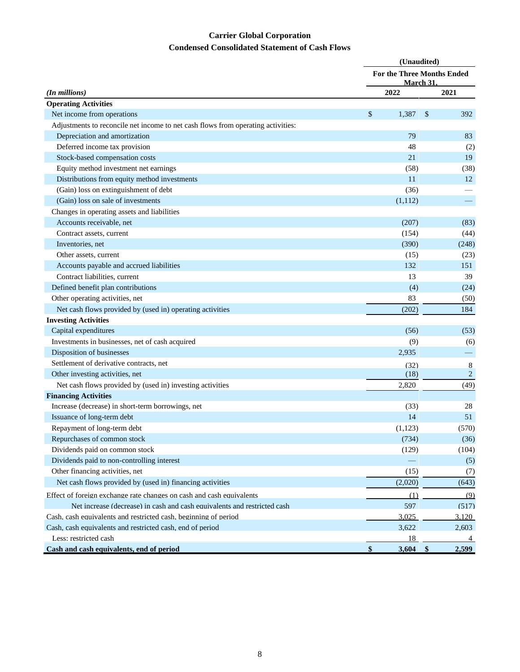# **Carrier Global Corporation Condensed Consolidated Statement of Cash Flows**

|                                                                                  |                                         | (Unaudited) |                |
|----------------------------------------------------------------------------------|-----------------------------------------|-------------|----------------|
|                                                                                  | For the Three Months Ended<br>March 31. |             |                |
| (In millions)                                                                    | 2022                                    |             | 2021           |
| <b>Operating Activities</b>                                                      |                                         |             |                |
| Net income from operations                                                       | \$<br>1,387                             | \$          | 392            |
| Adjustments to reconcile net income to net cash flows from operating activities: |                                         |             |                |
| Depreciation and amortization                                                    | 79                                      |             | 83             |
| Deferred income tax provision                                                    | 48                                      |             | (2)            |
| Stock-based compensation costs                                                   | 21                                      |             | 19             |
| Equity method investment net earnings                                            | (58)                                    |             | (38)           |
| Distributions from equity method investments                                     | 11                                      |             | 12             |
| (Gain) loss on extinguishment of debt                                            | (36)                                    |             |                |
| (Gain) loss on sale of investments                                               | (1,112)                                 |             |                |
| Changes in operating assets and liabilities                                      |                                         |             |                |
| Accounts receivable, net                                                         | (207)                                   |             | (83)           |
| Contract assets, current                                                         | (154)                                   |             | (44)           |
| Inventories, net                                                                 | (390)                                   |             | (248)          |
| Other assets, current                                                            | (15)                                    |             | (23)           |
| Accounts payable and accrued liabilities                                         | 132                                     |             | 151            |
| Contract liabilities, current                                                    | 13                                      |             | 39             |
| Defined benefit plan contributions                                               |                                         | (4)         | (24)           |
| Other operating activities, net                                                  | 83                                      |             | (50)           |
| Net cash flows provided by (used in) operating activities                        | (202)                                   |             | 184            |
| <b>Investing Activities</b>                                                      |                                         |             |                |
| Capital expenditures                                                             | (56)                                    |             | (53)           |
| Investments in businesses, net of cash acquired                                  |                                         | (9)         | (6)            |
| Disposition of businesses                                                        | 2,935                                   |             |                |
| Settlement of derivative contracts, net                                          | (32)                                    |             | 8              |
| Other investing activities, net                                                  | (18)                                    |             | $\overline{2}$ |
| Net cash flows provided by (used in) investing activities                        | 2,820                                   |             | (49)           |
| <b>Financing Activities</b>                                                      |                                         |             |                |
| Increase (decrease) in short-term borrowings, net                                | (33)                                    |             | 28             |
| Issuance of long-term debt                                                       | 14                                      |             | 51             |
| Repayment of long-term debt                                                      | (1, 123)                                |             | (570)          |
| Repurchases of common stock                                                      | (734)                                   |             | (36)           |
| Dividends paid on common stock                                                   | (129)                                   |             | (104)          |
| Dividends paid to non-controlling interest                                       |                                         |             | (5)            |
| Other financing activities, net                                                  | (15)                                    |             | (7)            |
| Net cash flows provided by (used in) financing activities                        | (2,020)                                 |             | (643)          |
| Effect of foreign exchange rate changes on cash and cash equivalents             | (1)                                     |             | (9)            |
| Net increase (decrease) in cash and cash equivalents and restricted cash         | 597                                     |             | (517)          |
| Cash, cash equivalents and restricted cash, beginning of period                  | 3,025                                   |             | 3,120          |
| Cash, cash equivalents and restricted cash, end of period                        | 3,622                                   |             | 2,603          |
| Less: restricted cash                                                            | 18                                      |             | 4              |
| Cash and cash equivalents, end of period                                         | $\sqrt{\frac{1}{2}}$                    | $3,604$ \$  | 2,599          |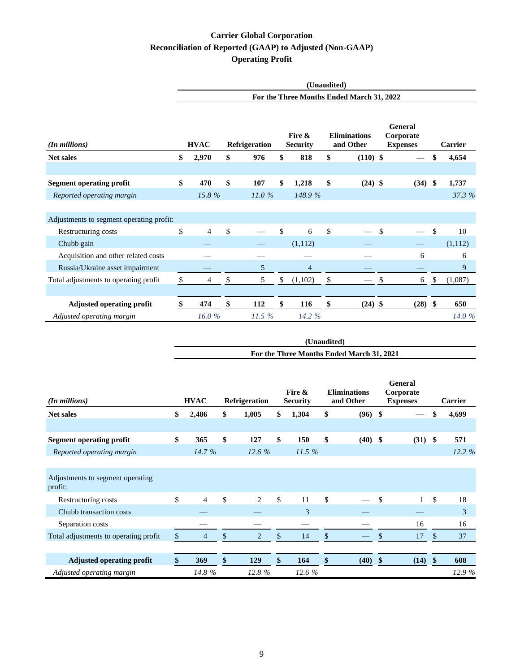# **Carrier Global Corporation Reconciliation of Reported (GAAP) to Adjusted (Non-GAAP) Operating Profit**

|                                           |                | (Unaudited)   |       |                      |                |                                    |  |                                         |                                      |                                           |                                  |  |  |
|-------------------------------------------|----------------|---------------|-------|----------------------|----------------|------------------------------------|--|-----------------------------------------|--------------------------------------|-------------------------------------------|----------------------------------|--|--|
| For the Three Months Ended March 31, 2022 |                |               |       |                      |                |                                    |  |                                         |                                      |                                           |                                  |  |  |
| <b>HVAC</b>                               |                |               |       |                      |                | <b>Eliminations</b><br>and Other   |  | General<br>Corporate<br><b>Expenses</b> |                                      |                                           | <b>Carrier</b>                   |  |  |
| \$                                        | 2,970          | \$            | 976   | \$                   | 818            | \$                                 |  |                                         |                                      | \$                                        | 4,654                            |  |  |
|                                           |                | \$            |       | \$                   |                | \$                                 |  |                                         |                                      |                                           | 1,737                            |  |  |
|                                           |                |               | 11.0% |                      | 148.9 %        |                                    |  |                                         |                                      |                                           | 37.3 %                           |  |  |
|                                           |                |               |       |                      |                |                                    |  |                                         |                                      |                                           |                                  |  |  |
|                                           |                |               |       |                      |                |                                    |  |                                         |                                      |                                           |                                  |  |  |
| \$                                        | $\overline{4}$ | \$            |       | \$                   | 6              | \$                                 |  | $\sqrt{3}$                              |                                      | \$                                        | 10                               |  |  |
|                                           |                |               |       |                      | (1,112)        |                                    |  |                                         |                                      |                                           | (1,112)                          |  |  |
|                                           |                |               |       |                      |                |                                    |  |                                         | 6                                    |                                           | 6                                |  |  |
|                                           |                |               | 5     |                      | $\overline{4}$ |                                    |  |                                         |                                      |                                           | 9                                |  |  |
| \$                                        | 4              | \$            | 5     | \$                   | (1,102)        | \$                                 |  | $\boldsymbol{\mathsf{S}}$               | 6                                    | \$                                        | (1,087)                          |  |  |
|                                           |                |               |       |                      |                |                                    |  |                                         |                                      |                                           |                                  |  |  |
| \$                                        | 474            | \$            | 112   | \$                   | 116            | \$                                 |  |                                         |                                      |                                           | 650                              |  |  |
|                                           | 16.0%          |               | 11.5% |                      | 14.2 %         |                                    |  |                                         |                                      |                                           | 14.0 %                           |  |  |
|                                           |                |               |       |                      |                |                                    |  |                                         |                                      |                                           |                                  |  |  |
|                                           |                |               |       |                      |                |                                    |  |                                         |                                      |                                           |                                  |  |  |
|                                           |                |               |       |                      |                |                                    |  |                                         |                                      |                                           |                                  |  |  |
|                                           | \$             | 470<br>15.8 % |       | Refrigeration<br>107 |                | Fire &<br><b>Security</b><br>1,218 |  | (Unaudited)                             | $(110)$ \$<br>$(24)$ \$<br>$(24)$ \$ | For the Three Months Ended March 31, 2021 | $(34)$ \$<br>$(28)$ \$<br>$\sim$ |  |  |

|                                             |    |             |    |                |    |                           |              |                                  |               | General                      |               |                |
|---------------------------------------------|----|-------------|----|----------------|----|---------------------------|--------------|----------------------------------|---------------|------------------------------|---------------|----------------|
| $(In$ millions $)$                          |    | <b>HVAC</b> |    | Refrigeration  |    | Fire &<br><b>Security</b> |              | <b>Eliminations</b><br>and Other |               | Corporate<br><b>Expenses</b> |               | <b>Carrier</b> |
| <b>Net sales</b>                            | \$ | 2,486       | \$ | 1,005          | \$ | 1,304                     | \$           | $(96)$ \$                        |               |                              | \$            | 4,699          |
|                                             |    |             |    |                |    |                           |              |                                  |               |                              |               |                |
| <b>Segment operating profit</b>             | \$ | 365         | \$ | 127            | \$ | 150                       | $\mathbf{s}$ | $(40)$ \$                        |               | $(31)$ \$                    |               | 571            |
| Reported operating margin                   |    | 14.7%       |    | 12.6 $%$       |    | 11.5%                     |              |                                  |               |                              |               | 12.2%          |
|                                             |    |             |    |                |    |                           |              |                                  |               |                              |               |                |
| Adjustments to segment operating<br>profit: |    |             |    |                |    |                           |              |                                  |               |                              |               |                |
| Restructuring costs                         | \$ | 4           | \$ | 2              | \$ | 11                        | \$           |                                  | \$            | $\mathbf{1}$                 | \$            | 18             |
| Chubb transaction costs                     |    |             |    |                |    | 3                         |              |                                  |               |                              |               | 3              |
| Separation costs                            |    |             |    |                |    |                           |              |                                  |               | 16                           |               | 16             |
| Total adjustments to operating profit       | \$ | 4           | \$ | $\overline{2}$ | \$ | 14                        | \$           |                                  |               | 17                           | $\mathcal{S}$ | 37             |
|                                             |    |             |    |                |    |                           |              |                                  |               |                              |               |                |
| <b>Adjusted operating profit</b>            | \$ | 369         | \$ | 129            | \$ | 164                       | \$           | (40)                             | $\mathbf{\$}$ | (14)                         | $\mathbf{\$}$ | 608            |
| Adjusted operating margin                   |    | 14.8%       |    | 12.8%          |    | 12.6%                     |              |                                  |               |                              |               | 12.9%          |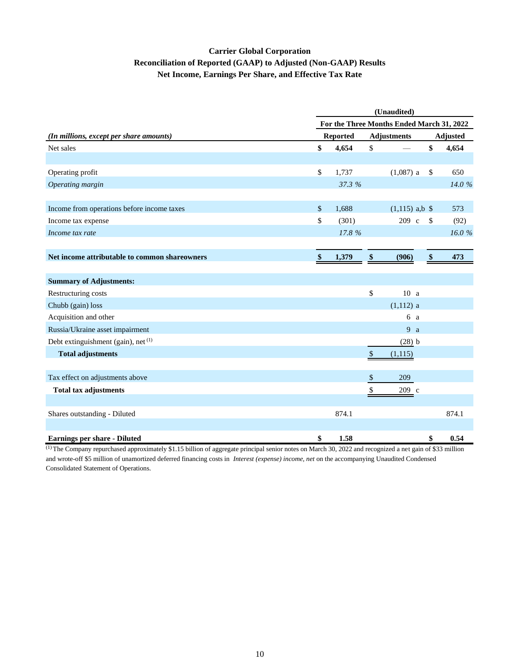### **Carrier Global Corporation Reconciliation of Reported (GAAP) to Adjusted (Non-GAAP) Results Net Income, Earnings Per Share, and Effective Tax Rate**

|                                                | (Unaudited)  |                 |                    |                                           |               |                 |  |  |  |  |
|------------------------------------------------|--------------|-----------------|--------------------|-------------------------------------------|---------------|-----------------|--|--|--|--|
|                                                |              |                 |                    | For the Three Months Ended March 31, 2022 |               |                 |  |  |  |  |
| (In millions, except per share amounts)        |              | <b>Reported</b> | <b>Adjustments</b> |                                           |               | <b>Adjusted</b> |  |  |  |  |
| Net sales                                      | \$           | 4,654           | \$                 |                                           | \$            | 4,654           |  |  |  |  |
|                                                |              |                 |                    |                                           |               |                 |  |  |  |  |
| Operating profit                               | \$           | 1,737           |                    | $(1,087)$ a                               | \$            | 650             |  |  |  |  |
| Operating margin                               |              | 37.3 %          |                    |                                           |               | 14.0 %          |  |  |  |  |
|                                                |              |                 |                    |                                           |               |                 |  |  |  |  |
| Income from operations before income taxes     | $\mathbb{S}$ | 1,688           |                    | $(1,115)$ a,b \$                          |               | 573             |  |  |  |  |
| Income tax expense                             | \$           | (301)           |                    | 209 с                                     | $\mathcal{S}$ | (92)            |  |  |  |  |
| Income tax rate                                |              | 17.8 %          |                    |                                           |               | 16.0%           |  |  |  |  |
|                                                |              |                 |                    |                                           |               |                 |  |  |  |  |
| Net income attributable to common shareowners  | \$           | 1,379           | \$                 | (906)                                     | \$            | 473             |  |  |  |  |
| <b>Summary of Adjustments:</b>                 |              |                 |                    |                                           |               |                 |  |  |  |  |
| Restructuring costs                            |              |                 | \$                 | 10 <sub>a</sub>                           |               |                 |  |  |  |  |
| Chubb (gain) loss                              |              |                 |                    | $(1,112)$ a                               |               |                 |  |  |  |  |
| Acquisition and other                          |              |                 |                    | 6 a                                       |               |                 |  |  |  |  |
| Russia/Ukraine asset impairment                |              |                 |                    | 9a                                        |               |                 |  |  |  |  |
| Debt extinguishment (gain), net <sup>(1)</sup> |              |                 |                    | $(28)$ b                                  |               |                 |  |  |  |  |
| <b>Total adjustments</b>                       |              |                 | $\mathcal{S}$      | (1, 115)                                  |               |                 |  |  |  |  |
|                                                |              |                 |                    |                                           |               |                 |  |  |  |  |
| Tax effect on adjustments above                |              |                 | \$                 | 209                                       |               |                 |  |  |  |  |
| <b>Total tax adjustments</b>                   |              |                 | \$                 | 209 с                                     |               |                 |  |  |  |  |
|                                                |              |                 |                    |                                           |               |                 |  |  |  |  |
| Shares outstanding - Diluted                   |              | 874.1           |                    |                                           |               | 874.1           |  |  |  |  |
|                                                |              |                 |                    |                                           |               |                 |  |  |  |  |
| <b>Earnings per share - Diluted</b>            | \$           | 1.58            |                    |                                           | \$            | 0.54            |  |  |  |  |

 $^{(1)}$ The Company repurchased approximately \$1.15 billion of aggregate principal senior notes on March 30, 2022 and recognized a net gain of \$33 million and wrote-off \$5 million of unamortized deferred financing costs in *Interest (expense) income, net* on the accompanying Unaudited Condensed Consolidated Statement of Operations.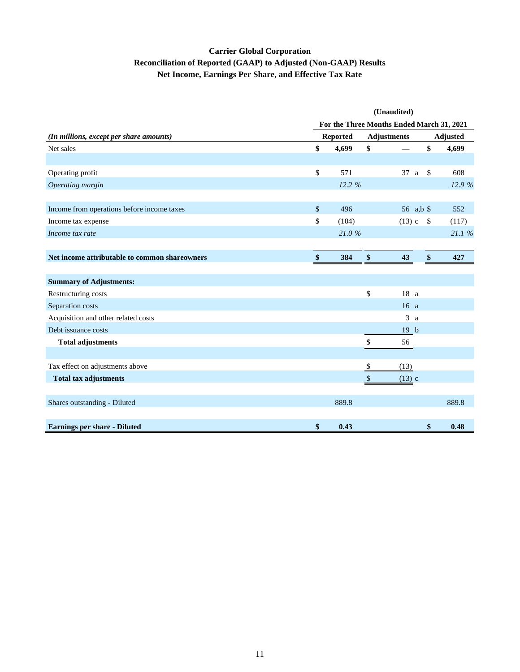### **Carrier Global Corporation Reconciliation of Reported (GAAP) to Adjusted (Non-GAAP) Results Net Income, Earnings Per Share, and Effective Tax Rate**

|                                               | (Unaudited)   |                 |    |                                           |                 |        |  |  |  |  |  |
|-----------------------------------------------|---------------|-----------------|----|-------------------------------------------|-----------------|--------|--|--|--|--|--|
|                                               |               |                 |    | For the Three Months Ended March 31, 2021 |                 |        |  |  |  |  |  |
| (In millions, except per share amounts)       |               | <b>Reported</b> |    |                                           | <b>Adjusted</b> |        |  |  |  |  |  |
| Net sales                                     | \$            | 4,699           | \$ |                                           | \$              | 4,699  |  |  |  |  |  |
|                                               |               |                 |    |                                           |                 |        |  |  |  |  |  |
| Operating profit                              | \$            | 571             |    | 37a                                       | $\mathbb{S}$    | 608    |  |  |  |  |  |
| Operating margin                              |               | 12.2 %          |    |                                           |                 | 12.9 % |  |  |  |  |  |
| Income from operations before income taxes    | $\mathbb{S}$  | 496             |    | 56 a,b \$                                 |                 | 552    |  |  |  |  |  |
| Income tax expense                            | \$            | (104)           |    | $(13) c$ \$                               |                 | (117)  |  |  |  |  |  |
| Income tax rate                               |               | 21.0%           |    |                                           |                 | 21.1 % |  |  |  |  |  |
| Net income attributable to common shareowners | $\mathbf{\$}$ | 384             | \$ | 43                                        | $\frac{1}{2}$   | 427    |  |  |  |  |  |
| <b>Summary of Adjustments:</b>                |               |                 |    |                                           |                 |        |  |  |  |  |  |
| Restructuring costs                           |               |                 | \$ | 18 a                                      |                 |        |  |  |  |  |  |
| Separation costs                              |               |                 |    | 16 a                                      |                 |        |  |  |  |  |  |
| Acquisition and other related costs           |               |                 |    | 3a                                        |                 |        |  |  |  |  |  |
| Debt issuance costs                           |               |                 |    | 19 <sub>b</sub>                           |                 |        |  |  |  |  |  |
| <b>Total adjustments</b>                      |               |                 | \$ | 56                                        |                 |        |  |  |  |  |  |
| Tax effect on adjustments above               |               |                 | \$ | (13)                                      |                 |        |  |  |  |  |  |
| <b>Total tax adjustments</b>                  |               |                 | \$ | $(13)$ c                                  |                 |        |  |  |  |  |  |
| Shares outstanding - Diluted                  |               | 889.8           |    |                                           |                 | 889.8  |  |  |  |  |  |
|                                               |               |                 |    |                                           |                 |        |  |  |  |  |  |
| <b>Earnings per share - Diluted</b>           | \$            | 0.43            |    |                                           | \$              | 0.48   |  |  |  |  |  |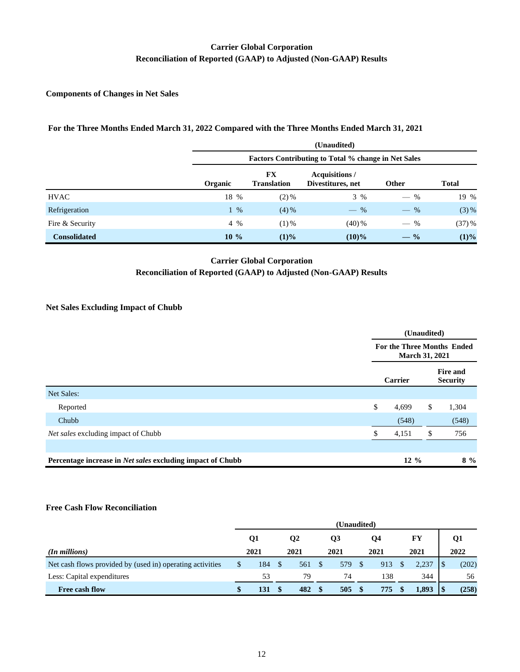#### **Carrier Global Corporation Reconciliation of Reported (GAAP) to Adjusted (Non-GAAP) Results**

**Components of Changes in Net Sales**

#### **For the Three Months Ended March 31, 2022 Compared with the Three Months Ended March 31, 2021**

|                     |         | <b>Factors Contributing to Total % change in Net Sales</b> |                                            |                 |              |  |  |  |  |  |  |  |  |
|---------------------|---------|------------------------------------------------------------|--------------------------------------------|-----------------|--------------|--|--|--|--|--|--|--|--|
|                     | Organic | FX<br><b>Translation</b>                                   | <b>Acquisitions</b> /<br>Divestitures, net | <b>Other</b>    | <b>Total</b> |  |  |  |  |  |  |  |  |
| <b>HVAC</b>         | 18 %    | $(2)$ %                                                    | $3\%$                                      | $-$ %           | 19 %         |  |  |  |  |  |  |  |  |
| Refrigeration       | $1\%$   | $(4) \%$                                                   | $-$ %                                      | $-$ %           | $(3)$ %      |  |  |  |  |  |  |  |  |
| Fire & Security     | $4\%$   | $(1)$ %                                                    | $(40)$ %                                   | $-$ %           | $(37)$ %     |  |  |  |  |  |  |  |  |
| <b>Consolidated</b> | $10\%$  | $(1)\%$                                                    | $(10)\%$                                   | $- \frac{9}{6}$ | (1)%         |  |  |  |  |  |  |  |  |

### **Carrier Global Corporation Reconciliation of Reported (GAAP) to Adjusted (Non-GAAP) Results**

#### **Net Sales Excluding Impact of Chubb**

|                                                            | (Unaudited)<br><b>For the Three Months Ended</b><br><b>March 31, 2021</b> |                |    |                                    |  |
|------------------------------------------------------------|---------------------------------------------------------------------------|----------------|----|------------------------------------|--|
|                                                            |                                                                           |                |    |                                    |  |
|                                                            |                                                                           | <b>Carrier</b> |    | <b>Fire and</b><br><b>Security</b> |  |
| Net Sales:                                                 |                                                                           |                |    |                                    |  |
| Reported                                                   | \$                                                                        | 4,699          | \$ | 1,304                              |  |
| Chubb                                                      |                                                                           | (548)          |    | (548)                              |  |
| Net sales excluding impact of Chubb                        |                                                                           | 4,151          | \$ | 756                                |  |
|                                                            |                                                                           |                |    |                                    |  |
| Percentage increase in Net sales excluding impact of Chubb |                                                                           | $12\%$         |    | $8\%$                              |  |

#### **Free Cash Flow Reconciliation**

|                                                           | (Unaudited) |      |  |      |      |      |  |      |  |       |  |       |
|-----------------------------------------------------------|-------------|------|--|------|------|------|--|------|--|-------|--|-------|
|                                                           |             | Q1   |  | Q2   |      | Q3   |  | Q4   |  | FY    |  | Q1    |
| $(In$ millions $)$                                        |             | 2021 |  | 2021 |      | 2021 |  | 2021 |  | 2021  |  | 2022  |
| Net cash flows provided by (used in) operating activities |             | 184  |  | 561  | - \$ | 579  |  | 913  |  | 2.237 |  | (202) |
| Less: Capital expenditures                                |             | 53   |  | 79   |      | 74   |  | 138  |  | 344   |  | 56    |
| Free cash flow                                            | S           | 131  |  | 482  |      | 505  |  | 775  |  | 1,893 |  | (258) |